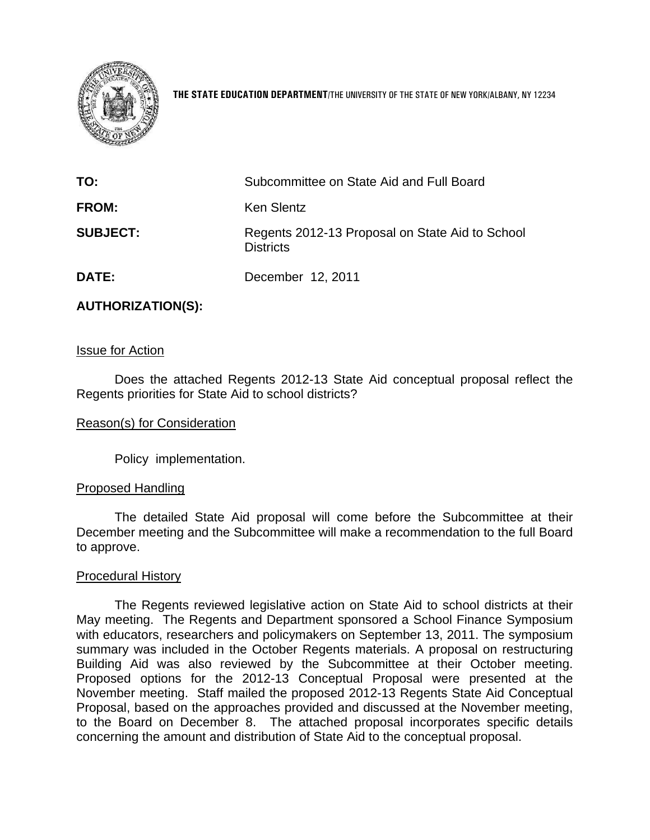

**THE STATE EDUCATION DEPARTMENT**/THE UNIVERSITY OF THE STATE OF NEW YORK/ALBANY, NY 12234

| TO:             | Subcommittee on State Aid and Full Board                            |
|-----------------|---------------------------------------------------------------------|
| <b>FROM:</b>    | Ken Slentz                                                          |
| <b>SUBJECT:</b> | Regents 2012-13 Proposal on State Aid to School<br><b>Districts</b> |
| <b>DATE:</b>    | December 12, 2011                                                   |

#### **AUTHORIZATION(S):**

#### Issue for Action

Does the attached Regents 2012-13 State Aid conceptual proposal reflect the Regents priorities for State Aid to school districts?

#### Reason(s) for Consideration

Policy implementation.

#### Proposed Handling

The detailed State Aid proposal will come before the Subcommittee at their December meeting and the Subcommittee will make a recommendation to the full Board to approve.

#### Procedural History

The Regents reviewed legislative action on State Aid to school districts at their May meeting. The Regents and Department sponsored a School Finance Symposium with educators, researchers and policymakers on September 13, 2011. The symposium summary was included in the October Regents materials. A proposal on restructuring Building Aid was also reviewed by the Subcommittee at their October meeting. Proposed options for the 2012-13 Conceptual Proposal were presented at the November meeting. Staff mailed the proposed 2012-13 Regents State Aid Conceptual Proposal, based on the approaches provided and discussed at the November meeting, to the Board on December 8. The attached proposal incorporates specific details concerning the amount and distribution of State Aid to the conceptual proposal.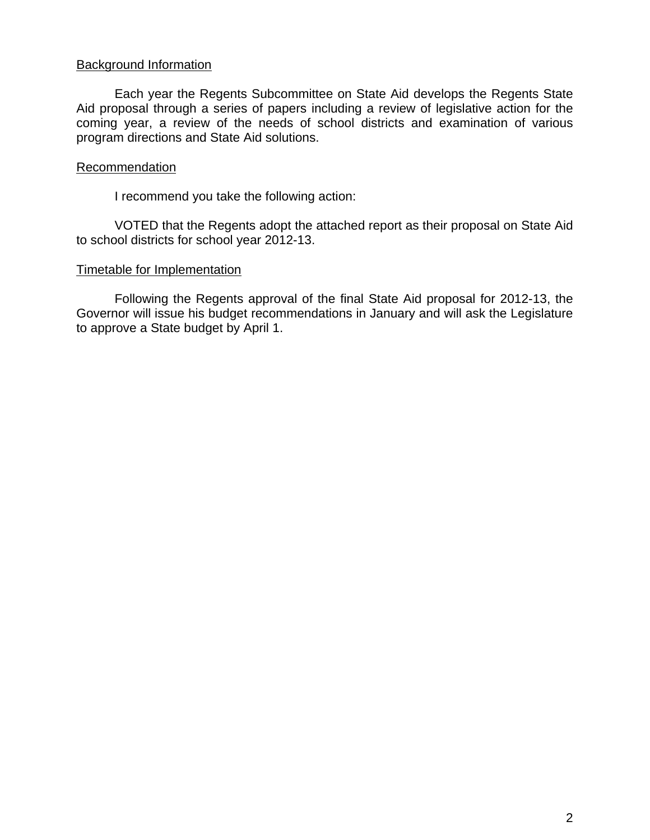#### Background Information

Each year the Regents Subcommittee on State Aid develops the Regents State Aid proposal through a series of papers including a review of legislative action for the coming year, a review of the needs of school districts and examination of various program directions and State Aid solutions.

#### **Recommendation**

I recommend you take the following action:

VOTED that the Regents adopt the attached report as their proposal on State Aid to school districts for school year 2012-13.

#### Timetable for Implementation

Following the Regents approval of the final State Aid proposal for 2012-13, the Governor will issue his budget recommendations in January and will ask the Legislature to approve a State budget by April 1.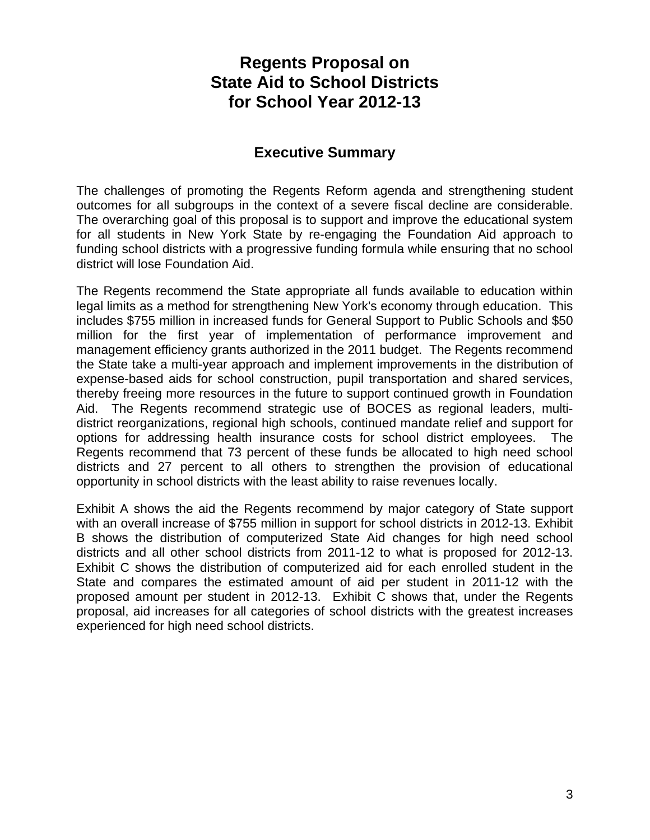# **Regents Proposal on State Aid to School Districts for School Year 2012-13**

### **Executive Summary**

The challenges of promoting the Regents Reform agenda and strengthening student outcomes for all subgroups in the context of a severe fiscal decline are considerable. The overarching goal of this proposal is to support and improve the educational system for all students in New York State by re-engaging the Foundation Aid approach to funding school districts with a progressive funding formula while ensuring that no school district will lose Foundation Aid.

The Regents recommend the State appropriate all funds available to education within legal limits as a method for strengthening New York's economy through education. This includes \$755 million in increased funds for General Support to Public Schools and \$50 million for the first year of implementation of performance improvement and management efficiency grants authorized in the 2011 budget. The Regents recommend the State take a multi-year approach and implement improvements in the distribution of expense-based aids for school construction, pupil transportation and shared services, thereby freeing more resources in the future to support continued growth in Foundation Aid. The Regents recommend strategic use of BOCES as regional leaders, multidistrict reorganizations, regional high schools, continued mandate relief and support for options for addressing health insurance costs for school district employees. The Regents recommend that 73 percent of these funds be allocated to high need school districts and 27 percent to all others to strengthen the provision of educational opportunity in school districts with the least ability to raise revenues locally.

Exhibit A shows the aid the Regents recommend by major category of State support with an overall increase of \$755 million in support for school districts in 2012-13. Exhibit B shows the distribution of computerized State Aid changes for high need school districts and all other school districts from 2011-12 to what is proposed for 2012-13. Exhibit C shows the distribution of computerized aid for each enrolled student in the State and compares the estimated amount of aid per student in 2011-12 with the proposed amount per student in 2012-13. Exhibit C shows that, under the Regents proposal, aid increases for all categories of school districts with the greatest increases experienced for high need school districts.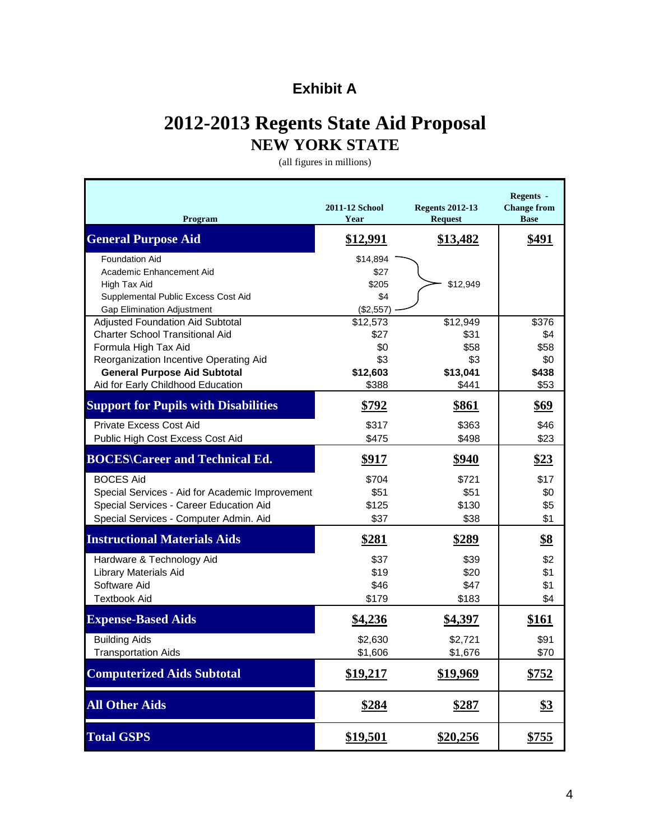# **Exhibit A**

# **2012-2013 Regents State Aid Proposal NEW YORK STATE**

(all figures in millions)

| Program                                                                                                                                                                                                                  | <b>2011-12 School</b><br>Year                       | <b>Regents 2012-13</b><br><b>Request</b>             | Regents -<br><b>Change from</b><br><b>Base</b> |
|--------------------------------------------------------------------------------------------------------------------------------------------------------------------------------------------------------------------------|-----------------------------------------------------|------------------------------------------------------|------------------------------------------------|
| <b>General Purpose Aid</b>                                                                                                                                                                                               | <u>\$12,991</u>                                     | \$13,482                                             | \$491                                          |
| <b>Foundation Aid</b><br>Academic Enhancement Aid<br>High Tax Aid<br>Supplemental Public Excess Cost Aid<br><b>Gap Elimination Adjustment</b>                                                                            | \$14,894<br>\$27<br>\$205<br>\$4<br>(\$2,557)       | \$12,949                                             |                                                |
| Adjusted Foundation Aid Subtotal<br><b>Charter School Transitional Aid</b><br>Formula High Tax Aid<br>Reorganization Incentive Operating Aid<br><b>General Purpose Aid Subtotal</b><br>Aid for Early Childhood Education | \$12,573<br>\$27<br>\$0<br>\$3<br>\$12,603<br>\$388 | \$12,949<br>\$31<br>\$58<br>\$3<br>\$13,041<br>\$441 | \$376<br>\$4<br>\$58<br>\$0<br>\$438<br>\$53   |
| <b>Support for Pupils with Disabilities</b><br><b>Private Excess Cost Aid</b>                                                                                                                                            | \$792<br>\$317                                      | <u>\$861</u><br>\$363                                | \$69<br>\$46                                   |
| Public High Cost Excess Cost Aid                                                                                                                                                                                         | \$475                                               | \$498                                                | \$23                                           |
| <b>BOCES\Career and Technical Ed.</b>                                                                                                                                                                                    | \$917                                               | \$940                                                | \$23                                           |
| <b>BOCES Aid</b><br>Special Services - Aid for Academic Improvement<br>Special Services - Career Education Aid<br>Special Services - Computer Admin. Aid                                                                 | \$704<br>\$51<br>\$125<br>\$37                      | \$721<br>\$51<br>\$130<br>\$38                       | \$17<br>\$0<br>\$5<br>\$1                      |
| <b>Instructional Materials Aids</b>                                                                                                                                                                                      | <u>\$281</u>                                        | <u>\$289</u>                                         | <u>\$8</u>                                     |
| Hardware & Technology Aid<br>Library Materials Aid<br>Software Aid<br><b>Textbook Aid</b>                                                                                                                                | \$37<br>\$19<br>\$46<br>\$179                       | \$39<br>\$20<br>\$47<br>\$183                        | \$2<br>\$1<br>\$1<br>\$4                       |
| <b>Expense-Based Aids</b>                                                                                                                                                                                                | \$4,236                                             | <u>\$4,397</u>                                       | <u>\$161</u>                                   |
| <b>Building Aids</b><br><b>Transportation Aids</b>                                                                                                                                                                       | \$2,630<br>\$1,606                                  | \$2,721<br>\$1,676                                   | \$91<br>\$70                                   |
| <b>Computerized Aids Subtotal</b>                                                                                                                                                                                        | \$19,217                                            | \$19,969                                             | \$752                                          |
| <b>All Other Aids</b>                                                                                                                                                                                                    | \$284                                               | \$287                                                | <u>\$3</u>                                     |
| <b>Total GSPS</b>                                                                                                                                                                                                        | \$19,501                                            | \$20,256                                             | \$755                                          |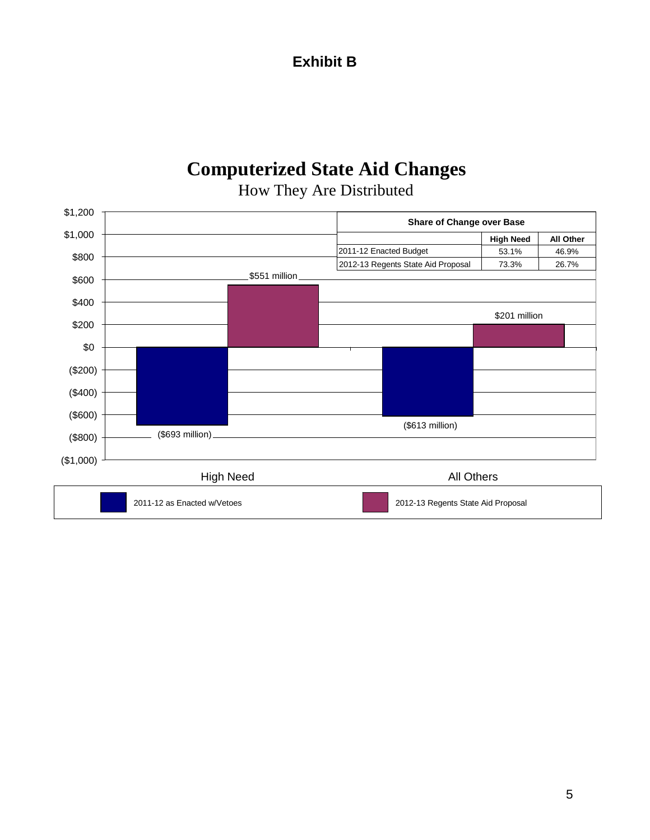## **Exhibit B**

# **Computerized State Aid Changes**



# How They Are Distributed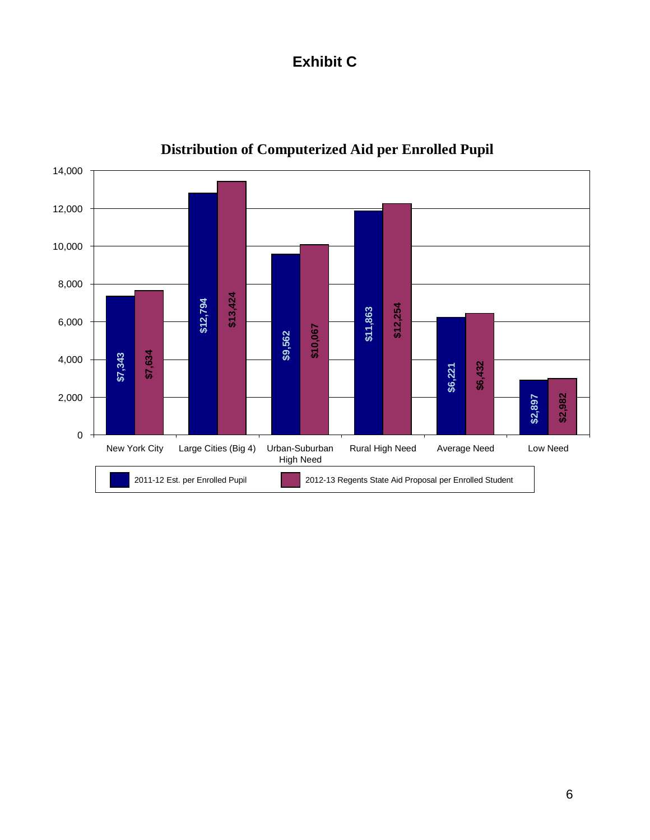# **Exhibit C**



# **Distribution of Computerized Aid per Enrolled Pupil**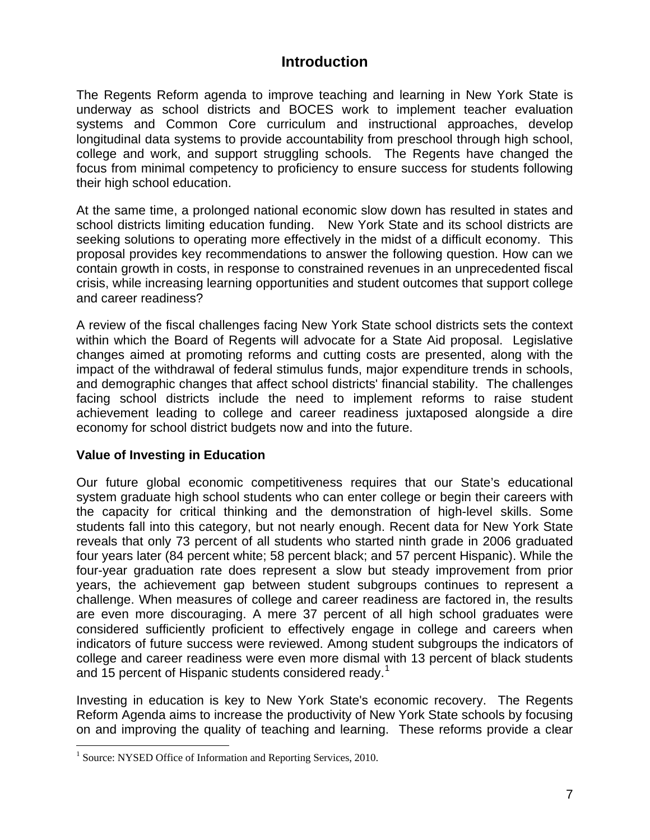### **Introduction**

The Regents Reform agenda to improve teaching and learning in New York State is underway as school districts and BOCES work to implement teacher evaluation systems and Common Core curriculum and instructional approaches, develop longitudinal data systems to provide accountability from preschool through high school, college and work, and support struggling schools. The Regents have changed the focus from minimal competency to proficiency to ensure success for students following their high school education.

At the same time, a prolonged national economic slow down has resulted in states and school districts limiting education funding. New York State and its school districts are seeking solutions to operating more effectively in the midst of a difficult economy. This proposal provides key recommendations to answer the following question. How can we contain growth in costs, in response to constrained revenues in an unprecedented fiscal crisis, while increasing learning opportunities and student outcomes that support college and career readiness?

A review of the fiscal challenges facing New York State school districts sets the context within which the Board of Regents will advocate for a State Aid proposal. Legislative changes aimed at promoting reforms and cutting costs are presented, along with the impact of the withdrawal of federal stimulus funds, major expenditure trends in schools, and demographic changes that affect school districts' financial stability. The challenges facing school districts include the need to implement reforms to raise student achievement leading to college and career readiness juxtaposed alongside a dire economy for school district budgets now and into the future.

#### **Value of Investing in Education**

Our future global economic competitiveness requires that our State's educational system graduate high school students who can enter college or begin their careers with the capacity for critical thinking and the demonstration of high-level skills. Some students fall into this category, but not nearly enough. Recent data for New York State reveals that only 73 percent of all students who started ninth grade in 2006 graduated four years later (84 percent white; 58 percent black; and 57 percent Hispanic). While the four-year graduation rate does represent a slow but steady improvement from prior years, the achievement gap between student subgroups continues to represent a challenge. When measures of college and career readiness are factored in, the results are even more discouraging. A mere 37 percent of all high school graduates were considered sufficiently proficient to effectively engage in college and careers when indicators of future success were reviewed. Among student subgroups the indicators of college and career readiness were even more dismal with 13 percent of black students and [1](#page-6-0)5 percent of Hispanic students considered ready.<sup>1</sup>

 $\overline{a}$ Investing in education is key to New York State's economic recovery. The Regents Reform Agenda aims to increase the productivity of New York State schools by focusing on and improving the quality of teaching and learning. These reforms provide a clear

<span id="page-6-0"></span><sup>&</sup>lt;sup>1</sup> Source: NYSED Office of Information and Reporting Services, 2010.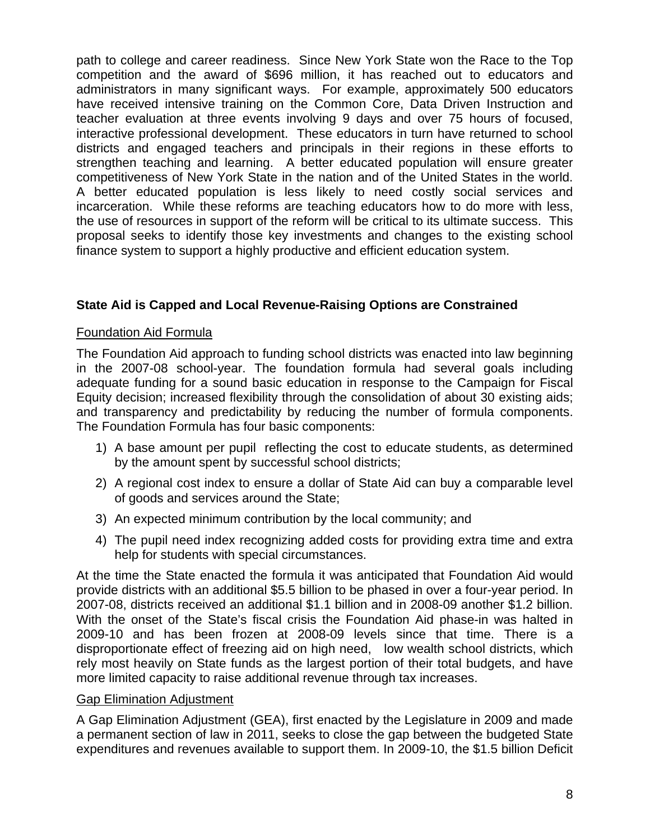path to college and career readiness. Since New York State won the Race to the Top competition and the award of \$696 million, it has reached out to educators and administrators in many significant ways. For example, approximately 500 educators have received intensive training on the Common Core, Data Driven Instruction and teacher evaluation at three events involving 9 days and over 75 hours of focused, interactive professional development. These educators in turn have returned to school districts and engaged teachers and principals in their regions in these efforts to strengthen teaching and learning. A better educated population will ensure greater competitiveness of New York State in the nation and of the United States in the world. A better educated population is less likely to need costly social services and incarceration. While these reforms are teaching educators how to do more with less, the use of resources in support of the reform will be critical to its ultimate success. This proposal seeks to identify those key investments and changes to the existing school finance system to support a highly productive and efficient education system.

### **State Aid is Capped and Local Revenue-Raising Options are Constrained**

#### Foundation Aid Formula

The Foundation Aid approach to funding school districts was enacted into law beginning in the 2007-08 school-year. The foundation formula had several goals including adequate funding for a sound basic education in response to the Campaign for Fiscal Equity decision; increased flexibility through the consolidation of about 30 existing aids; and transparency and predictability by reducing the number of formula components. The Foundation Formula has four basic components:

- 1) A base amount per pupil reflecting the cost to educate students, as determined by the amount spent by successful school districts;
- 2) A regional cost index to ensure a dollar of State Aid can buy a comparable level of goods and services around the State;
- 3) An expected minimum contribution by the local community; and
- 4) The pupil need index recognizing added costs for providing extra time and extra help for students with special circumstances.

At the time the State enacted the formula it was anticipated that Foundation Aid would provide districts with an additional \$5.5 billion to be phased in over a four-year period. In 2007-08, districts received an additional \$1.1 billion and in 2008-09 another \$1.2 billion. With the onset of the State's fiscal crisis the Foundation Aid phase-in was halted in 2009-10 and has been frozen at 2008-09 levels since that time. There is a disproportionate effect of freezing aid on high need, low wealth school districts, which rely most heavily on State funds as the largest portion of their total budgets, and have more limited capacity to raise additional revenue through tax increases.

#### Gap Elimination Adjustment

A Gap Elimination Adjustment (GEA), first enacted by the Legislature in 2009 and made a permanent section of law in 2011, seeks to close the gap between the budgeted State expenditures and revenues available to support them. In 2009-10, the \$1.5 billion Deficit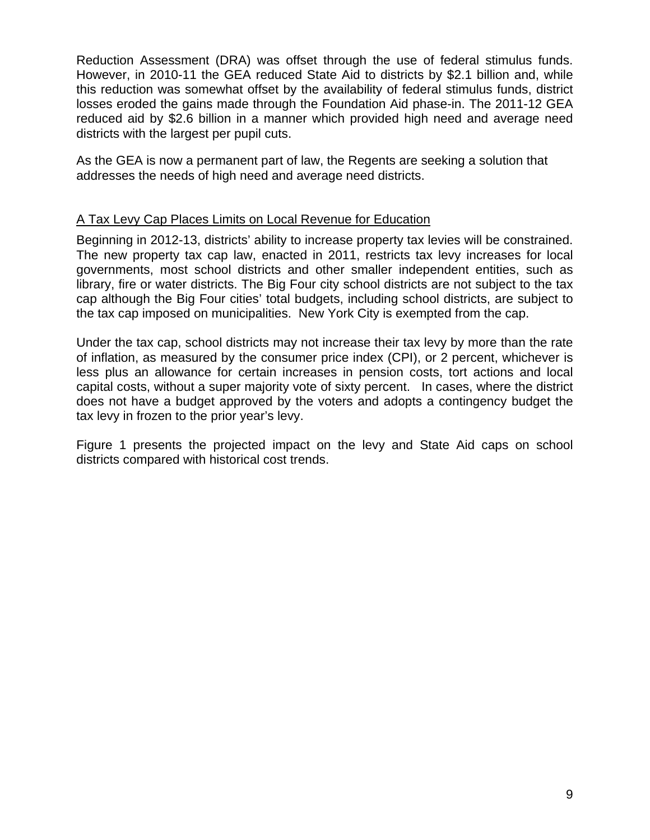Reduction Assessment (DRA) was offset through the use of federal stimulus funds. However, in 2010-11 the GEA reduced State Aid to districts by \$2.1 billion and, while this reduction was somewhat offset by the availability of federal stimulus funds, district losses eroded the gains made through the Foundation Aid phase-in. The 2011-12 GEA reduced aid by \$2.6 billion in a manner which provided high need and average need districts with the largest per pupil cuts.

As the GEA is now a permanent part of law, the Regents are seeking a solution that addresses the needs of high need and average need districts.

#### A Tax Levy Cap Places Limits on Local Revenue for Education

Beginning in 2012-13, districts' ability to increase property tax levies will be constrained. The new property tax cap law, enacted in 2011, restricts tax levy increases for local governments, most school districts and other smaller independent entities, such as library, fire or water districts. The Big Four city school districts are not subject to the tax cap although the Big Four cities' total budgets, including school districts, are subject to the tax cap imposed on municipalities. New York City is exempted from the cap.

Under the tax cap, school districts may not increase their tax levy by more than the rate of inflation, as measured by the consumer price index (CPI), or 2 percent, whichever is less plus an allowance for certain increases in pension costs, tort actions and local capital costs, without a super majority vote of sixty percent. In cases, where the district does not have a budget approved by the voters and adopts a contingency budget the tax levy in frozen to the prior year's levy.

Figure 1 presents the projected impact on the levy and State Aid caps on school districts compared with historical cost trends.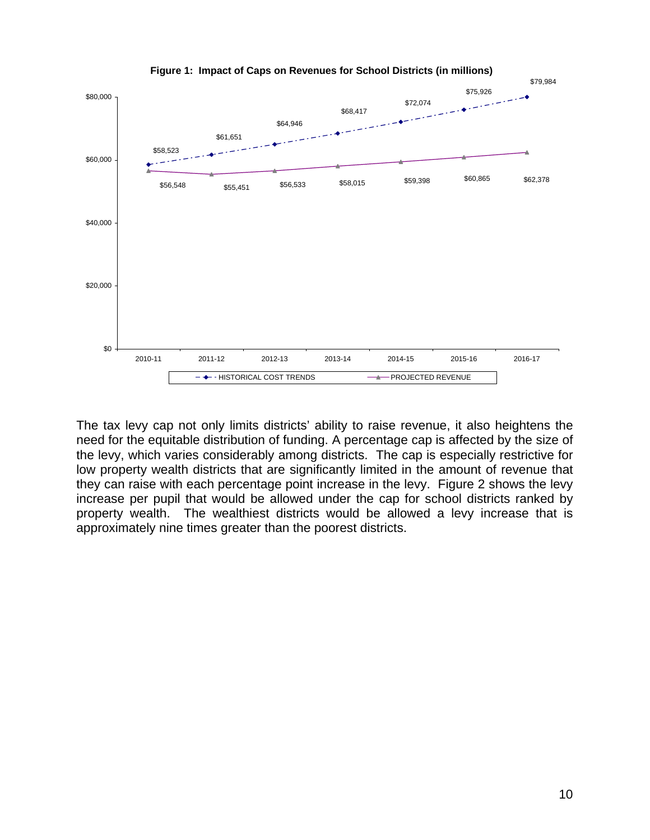

The tax levy cap not only limits districts' ability to raise revenue, it also heightens the need for the equitable distribution of funding. A percentage cap is affected by the size of the levy, which varies considerably among districts. The cap is especially restrictive for low property wealth districts that are significantly limited in the amount of revenue that they can raise with each percentage point increase in the levy. Figure 2 shows the levy increase per pupil that would be allowed under the cap for school districts ranked by property wealth. The wealthiest districts would be allowed a levy increase that is approximately nine times greater than the poorest districts.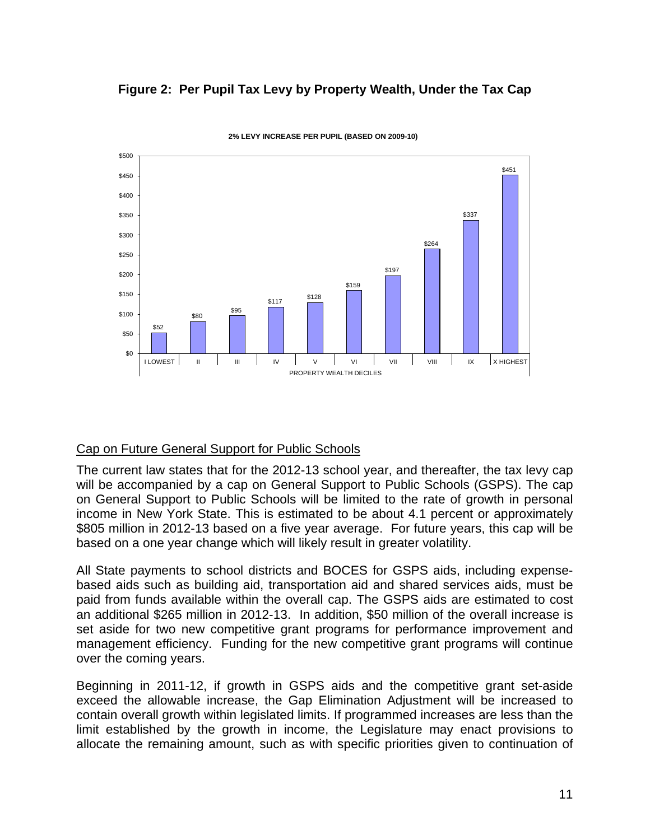#### **Figure 2: Per Pupil Tax Levy by Property Wealth, Under the Tax Cap**



**2% LEVY INCREASE PER PUPIL (BASED ON 2009-10)**

#### Cap on Future General Support for Public Schools

The current law states that for the 2012-13 school year, and thereafter, the tax levy cap will be accompanied by a cap on General Support to Public Schools (GSPS). The cap on General Support to Public Schools will be limited to the rate of growth in personal income in New York State. This is estimated to be about 4.1 percent or approximately \$805 million in 2012-13 based on a five year average. For future years, this cap will be based on a one year change which will likely result in greater volatility.

All State payments to school districts and BOCES for GSPS aids, including expensebased aids such as building aid, transportation aid and shared services aids, must be paid from funds available within the overall cap. The GSPS aids are estimated to cost an additional \$265 million in 2012-13. In addition, \$50 million of the overall increase is set aside for two new competitive grant programs for performance improvement and management efficiency. Funding for the new competitive grant programs will continue over the coming years.

Beginning in 2011-12, if growth in GSPS aids and the competitive grant set-aside exceed the allowable increase, the Gap Elimination Adjustment will be increased to contain overall growth within legislated limits. If programmed increases are less than the limit established by the growth in income, the Legislature may enact provisions to allocate the remaining amount, such as with specific priorities given to continuation of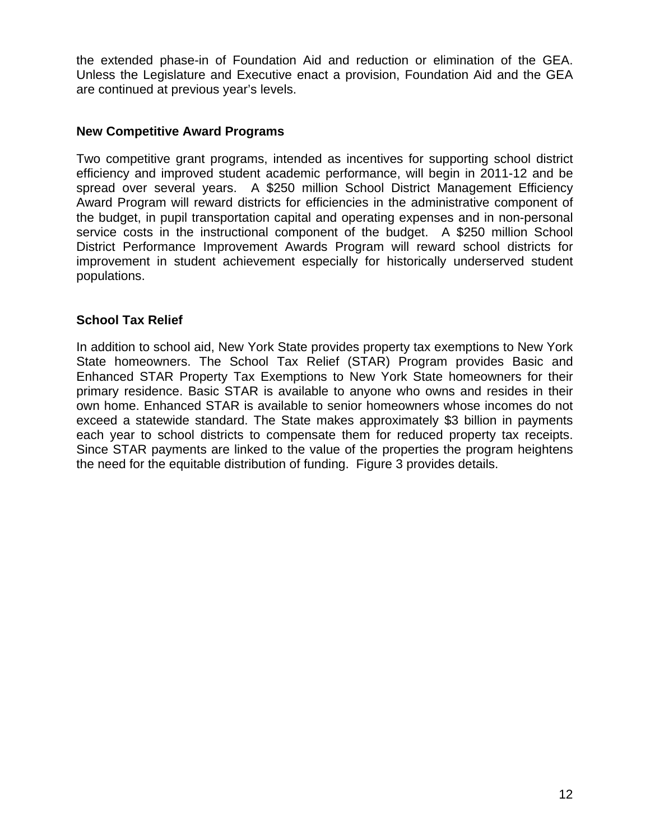the extended phase-in of Foundation Aid and reduction or elimination of the GEA. Unless the Legislature and Executive enact a provision, Foundation Aid and the GEA are continued at previous year's levels.

#### **New Competitive Award Programs**

Two competitive grant programs, intended as incentives for supporting school district efficiency and improved student academic performance, will begin in 2011-12 and be spread over several years. A \$250 million School District Management Efficiency Award Program will reward districts for efficiencies in the administrative component of the budget, in pupil transportation capital and operating expenses and in non-personal service costs in the instructional component of the budget. A \$250 million School District Performance Improvement Awards Program will reward school districts for improvement in student achievement especially for historically underserved student populations.

#### **School Tax Relief**

In addition to school aid, New York State provides property tax exemptions to New York State homeowners. The School Tax Relief (STAR) Program provides Basic and Enhanced STAR Property Tax Exemptions to New York State homeowners for their primary residence. Basic STAR is available to anyone who owns and resides in their own home. Enhanced STAR is available to senior homeowners whose incomes do not exceed a statewide standard. The State makes approximately \$3 billion in payments each year to school districts to compensate them for reduced property tax receipts. Since STAR payments are linked to the value of the properties the program heightens the need for the equitable distribution of funding. Figure 3 provides details.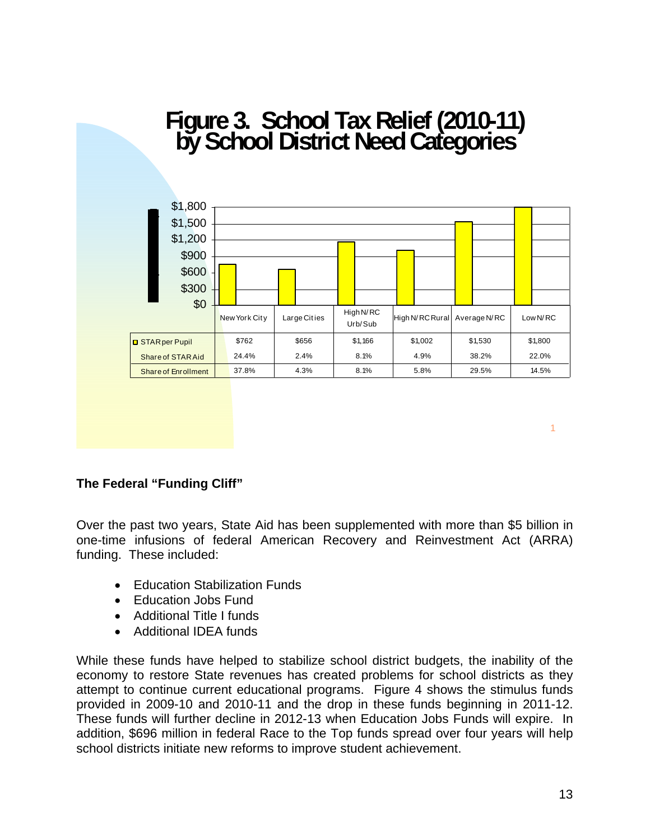# **Figure 3. School Tax Relief (2010-11) by School District Need Categories**



1

#### **The Federal "Funding Cliff"**

Over the past two years, State Aid has been supplemented with more than \$5 billion in one-time infusions of federal American Recovery and Reinvestment Act (ARRA) funding. These included:

- Education Stabilization Funds
- Education Jobs Fund
- Additional Title I funds
- Additional IDEA funds

While these funds have helped to stabilize school district budgets, the inability of the economy to restore State revenues has created problems for school districts as they attempt to continue current educational programs. Figure 4 shows the stimulus funds provided in 2009-10 and 2010-11 and the drop in these funds beginning in 2011-12. These funds will further decline in 2012-13 when Education Jobs Funds will expire. In addition, \$696 million in federal Race to the Top funds spread over four years will help school districts initiate new reforms to improve student achievement.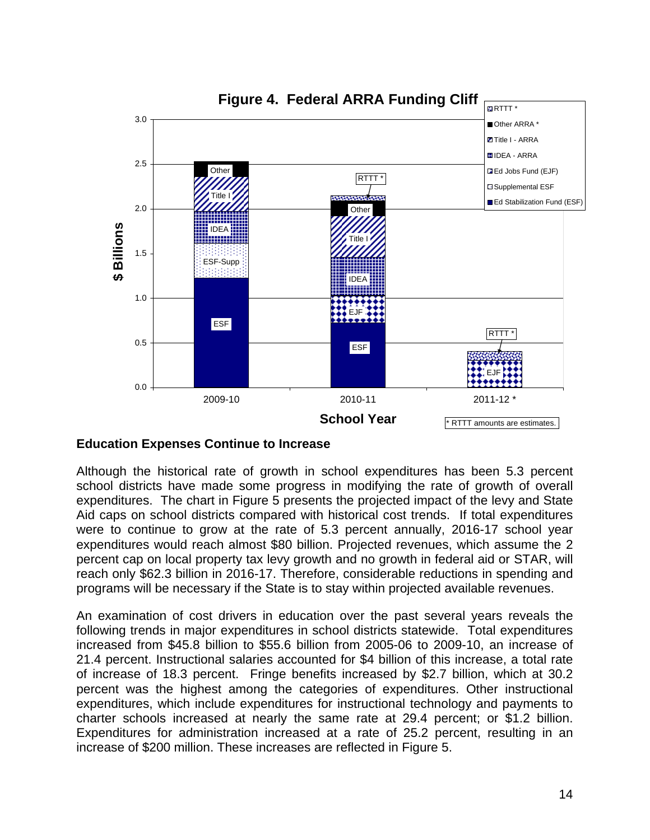

**Figure 4. Federal ARRA Funding Cliff**

#### **Education Expenses Continue to Increase**

Although the historical rate of growth in school expenditures has been 5.3 percent school districts have made some progress in modifying the rate of growth of overall expenditures. The chart in Figure 5 presents the projected impact of the levy and State Aid caps on school districts compared with historical cost trends. If total expenditures were to continue to grow at the rate of 5.3 percent annually, 2016-17 school year expenditures would reach almost \$80 billion. Projected revenues, which assume the 2 percent cap on local property tax levy growth and no growth in federal aid or STAR, will reach only \$62.3 billion in 2016-17. Therefore, considerable reductions in spending and programs will be necessary if the State is to stay within projected available revenues.

An examination of cost drivers in education over the past several years reveals the following trends in major expenditures in school districts statewide. Total expenditures increased from \$45.8 billion to \$55.6 billion from 2005-06 to 2009-10, an increase of 21.4 percent. Instructional salaries accounted for \$4 billion of this increase, a total rate of increase of 18.3 percent. Fringe benefits increased by \$2.7 billion, which at 30.2 percent was the highest among the categories of expenditures. Other instructional expenditures, which include expenditures for instructional technology and payments to charter schools increased at nearly the same rate at 29.4 percent; or \$1.2 billion. Expenditures for administration increased at a rate of 25.2 percent, resulting in an increase of \$200 million. These increases are reflected in Figure 5.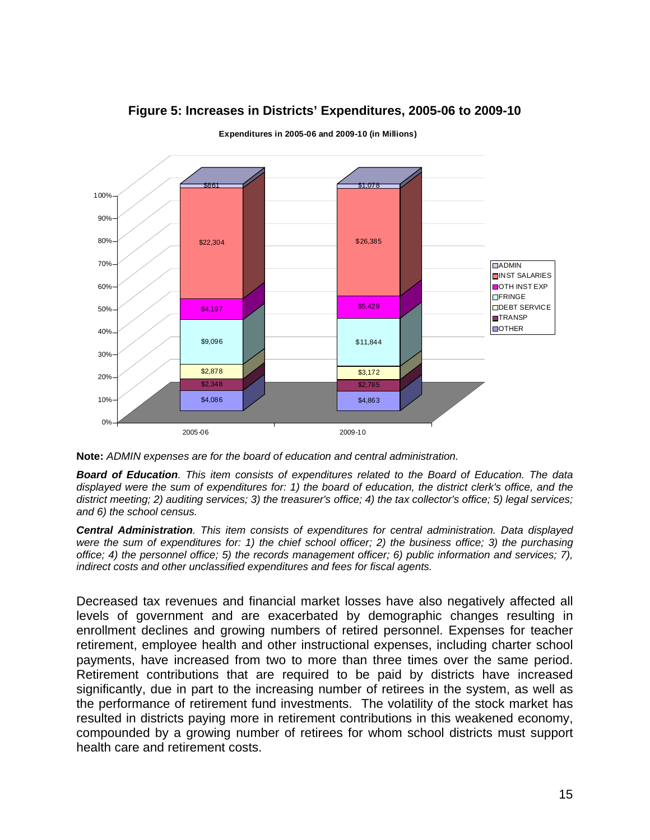

#### **Figure 5: Increases in Districts' Expenditures, 2005-06 to 2009-10**

**Expenditures in 2005-06 and 2009-10 (in Millions)**

*Board of Education. This item consists of expenditures related to the Board of Education. The data displayed were the sum of expenditures for: 1) the board of education, the district clerk's office, and the district meeting; 2) auditing services; 3) the treasurer's office; 4) the tax collector's office; 5) legal services; and 6) the school census.* 

*Central Administration. This item consists of expenditures for central administration. Data displayed were the sum of expenditures for: 1) the chief school officer; 2) the business office; 3) the purchasing office; 4) the personnel office; 5) the records management officer; 6) public information and services; 7), indirect costs and other unclassified expenditures and fees for fiscal agents.*

Decreased tax revenues and financial market losses have also negatively affected all levels of government and are exacerbated by demographic changes resulting in enrollment declines and growing numbers of retired personnel. Expenses for teacher retirement, employee health and other instructional expenses, including charter school payments, have increased from two to more than three times over the same period. Retirement contributions that are required to be paid by districts have increased significantly, due in part to the increasing number of retirees in the system, as well as the performance of retirement fund investments. The volatility of the stock market has resulted in districts paying more in retirement contributions in this weakened economy, compounded by a growing number of retirees for whom school districts must support health care and retirement costs.

**Note:** *ADMIN expenses are for the board of education and central administration.*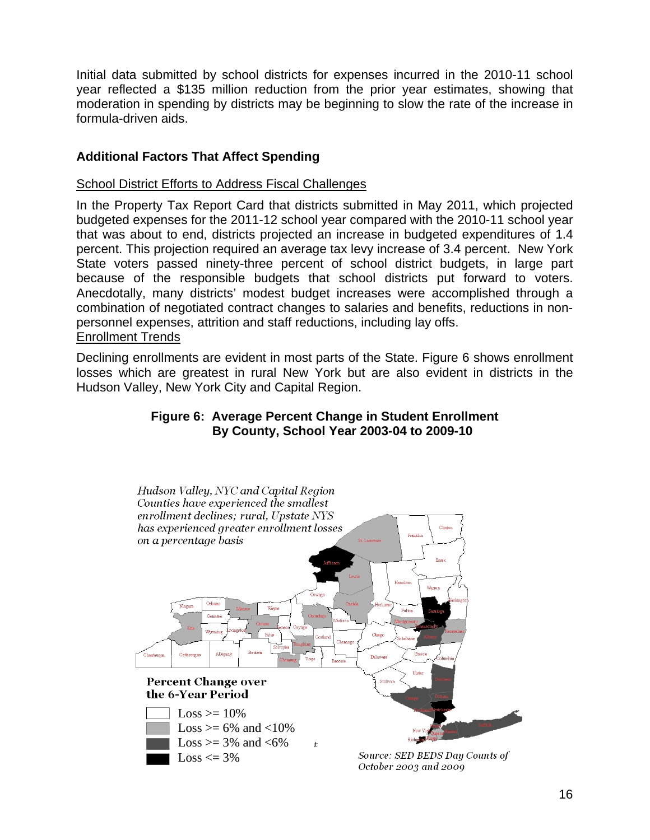Initial data submitted by school districts for expenses incurred in the 2010-11 school year reflected a \$135 million reduction from the prior year estimates, showing that moderation in spending by districts may be beginning to slow the rate of the increase in formula-driven aids.

#### **Additional Factors That Affect Spending**

#### School District Efforts to Address Fiscal Challenges

In the Property Tax Report Card that districts submitted in May 2011, which projected budgeted expenses for the 2011-12 school year compared with the 2010-11 school year that was about to end, districts projected an increase in budgeted expenditures of 1.4 percent. This projection required an average tax levy increase of 3.4 percent. New York State voters passed ninety-three percent of school district budgets, in large part because of the responsible budgets that school districts put forward to voters. Anecdotally, many districts' modest budget increases were accomplished through a combination of negotiated contract changes to salaries and benefits, reductions in nonpersonnel expenses, attrition and staff reductions, including lay offs. Enrollment Trends

Declining enrollments are evident in most parts of the State. Figure 6 shows enrollment losses which are greatest in rural New York but are also evident in districts in the Hudson Valley, New York City and Capital Region.

#### **Figure 6: Average Percent Change in Student Enrollment By County, School Year 2003-04 to 2009-10**

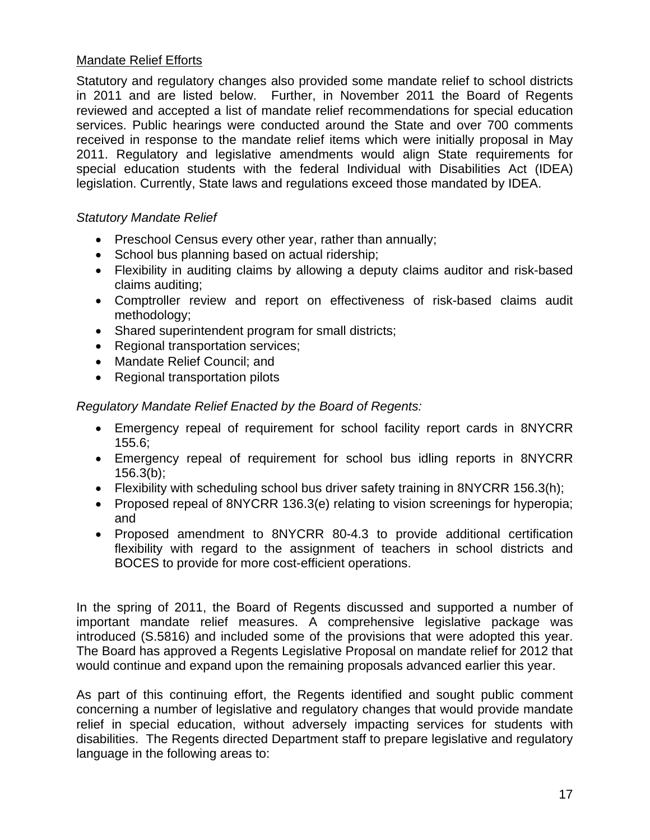#### Mandate Relief Efforts

Statutory and regulatory changes also provided some mandate relief to school districts in 2011 and are listed below. Further, in November 2011 the Board of Regents reviewed and accepted a list of mandate relief recommendations for special education services. Public hearings were conducted around the State and over 700 comments received in response to the mandate relief items which were initially proposal in May 2011. Regulatory and legislative amendments would align State requirements for special education students with the federal Individual with Disabilities Act (IDEA) legislation. Currently, State laws and regulations exceed those mandated by IDEA.

#### *Statutory Mandate Relief*

- Preschool Census every other year, rather than annually;
- School bus planning based on actual ridership;
- Flexibility in auditing claims by allowing a deputy claims auditor and risk-based claims auditing;
- Comptroller review and report on effectiveness of risk-based claims audit methodology;
- Shared superintendent program for small districts;
- Regional transportation services;
- Mandate Relief Council; and
- Regional transportation pilots

*Regulatory Mandate Relief Enacted by the Board of Regents:* 

- Emergency repeal of requirement for school facility report cards in 8NYCRR 155.6;
- Emergency repeal of requirement for school bus idling reports in 8NYCRR  $156.3(b)$ ;
- Flexibility with scheduling school bus driver safety training in 8NYCRR 156.3(h);
- Proposed repeal of 8NYCRR 136.3(e) relating to vision screenings for hyperopia; and
- Proposed amendment to 8NYCRR 80-4.3 to provide additional certification flexibility with regard to the assignment of teachers in school districts and BOCES to provide for more cost-efficient operations.

In the spring of 2011, the Board of Regents discussed and supported a number of important mandate relief measures. A comprehensive legislative package was introduced (S.5816) and included some of the provisions that were adopted this year. The Board has approved a Regents Legislative Proposal on mandate relief for 2012 that would continue and expand upon the remaining proposals advanced earlier this year.

As part of this continuing effort, the Regents identified and sought public comment concerning a number of legislative and regulatory changes that would provide mandate relief in special education, without adversely impacting services for students with disabilities. The Regents directed Department staff to prepare legislative and regulatory language in the following areas to: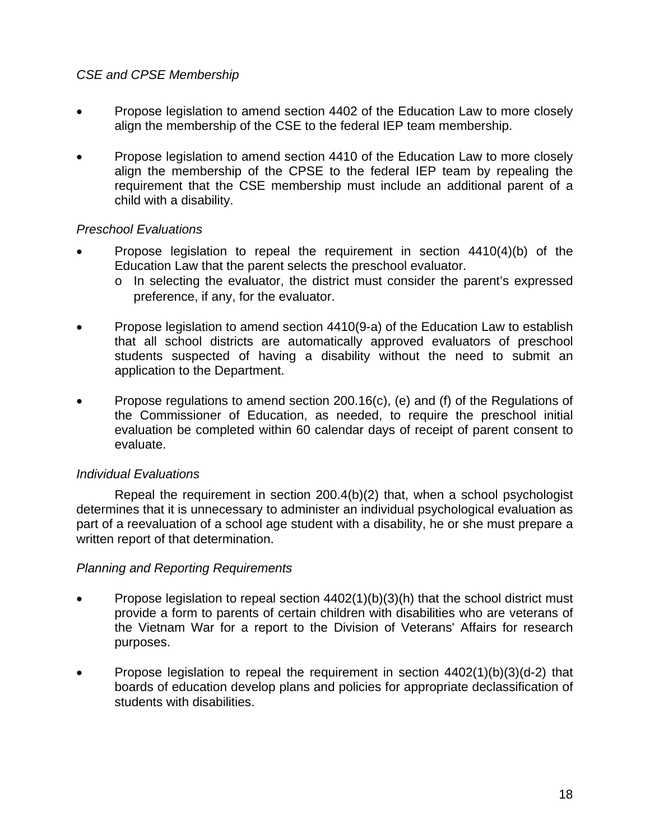#### *CSE and CPSE Membership*

- Propose legislation to amend section 4402 of the Education Law to more closely align the membership of the CSE to the federal IEP team membership.
- Propose legislation to amend section 4410 of the Education Law to more closely align the membership of the CPSE to the federal IEP team by repealing the requirement that the CSE membership must include an additional parent of a child with a disability.

#### *Preschool Evaluations*

- Propose legislation to repeal the requirement in section  $4410(4)(b)$  of the Education Law that the parent selects the preschool evaluator.
	- o In selecting the evaluator, the district must consider the parent's expressed preference, if any, for the evaluator.
- Propose legislation to amend section 4410(9-a) of the Education Law to establish that all school districts are automatically approved evaluators of preschool students suspected of having a disability without the need to submit an application to the Department.
- Propose regulations to amend section 200.16(c), (e) and (f) of the Regulations of the Commissioner of Education, as needed, to require the preschool initial evaluation be completed within 60 calendar days of receipt of parent consent to evaluate.

#### *Individual Evaluations*

 Repeal the requirement in section 200.4(b)(2) that, when a school psychologist determines that it is unnecessary to administer an individual psychological evaluation as part of a reevaluation of a school age student with a disability, he or she must prepare a written report of that determination.

#### *Planning and Reporting Requirements*

- Propose legislation to repeal section  $4402(1)(b)(3)(h)$  that the school district must provide a form to parents of certain children with disabilities who are veterans of the Vietnam War for a report to the Division of Veterans' Affairs for research purposes.
- Propose legislation to repeal the requirement in section  $4402(1)(b)(3)(d-2)$  that boards of education develop plans and policies for appropriate declassification of students with disabilities.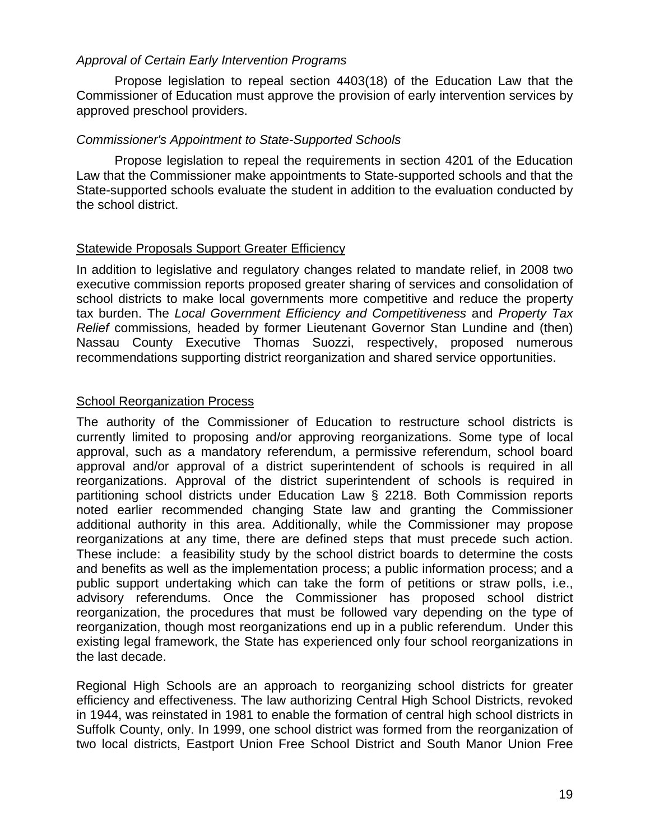#### *Approval of Certain Early Intervention Programs*

 Propose legislation to repeal section 4403(18) of the Education Law that the Commissioner of Education must approve the provision of early intervention services by approved preschool providers.

#### *Commissioner's Appointment to State-Supported Schools*

 Propose legislation to repeal the requirements in section 4201 of the Education Law that the Commissioner make appointments to State-supported schools and that the State-supported schools evaluate the student in addition to the evaluation conducted by the school district.

#### Statewide Proposals Support Greater Efficiency

In addition to legislative and regulatory changes related to mandate relief, in 2008 two executive commission reports proposed greater sharing of services and consolidation of school districts to make local governments more competitive and reduce the property tax burden. The *Local Government Efficiency and Competitiveness* and *Property Tax Relief* commissions*,* headed by former Lieutenant Governor Stan Lundine and (then) Nassau County Executive Thomas Suozzi, respectively, proposed numerous recommendations supporting district reorganization and shared service opportunities.

#### School Reorganization Process

The authority of the Commissioner of Education to restructure school districts is currently limited to proposing and/or approving reorganizations. Some type of local approval, such as a mandatory referendum, a permissive referendum, school board approval and/or approval of a district superintendent of schools is required in all reorganizations. Approval of the district superintendent of schools is required in partitioning school districts under Education Law § 2218. Both Commission reports noted earlier recommended changing State law and granting the Commissioner additional authority in this area. Additionally, while the Commissioner may propose reorganizations at any time, there are defined steps that must precede such action. These include: a feasibility study by the school district boards to determine the costs and benefits as well as the implementation process; a public information process; and a public support undertaking which can take the form of petitions or straw polls, i.e., advisory referendums. Once the Commissioner has proposed school district reorganization, the procedures that must be followed vary depending on the type of reorganization, though most reorganizations end up in a public referendum. Under this existing legal framework, the State has experienced only four school reorganizations in the last decade.

Regional High Schools are an approach to reorganizing school districts for greater efficiency and effectiveness. The law authorizing Central High School Districts, revoked in 1944, was reinstated in 1981 to enable the formation of central high school districts in Suffolk County, only. In 1999, one school district was formed from the reorganization of two local districts, Eastport Union Free School District and South Manor Union Free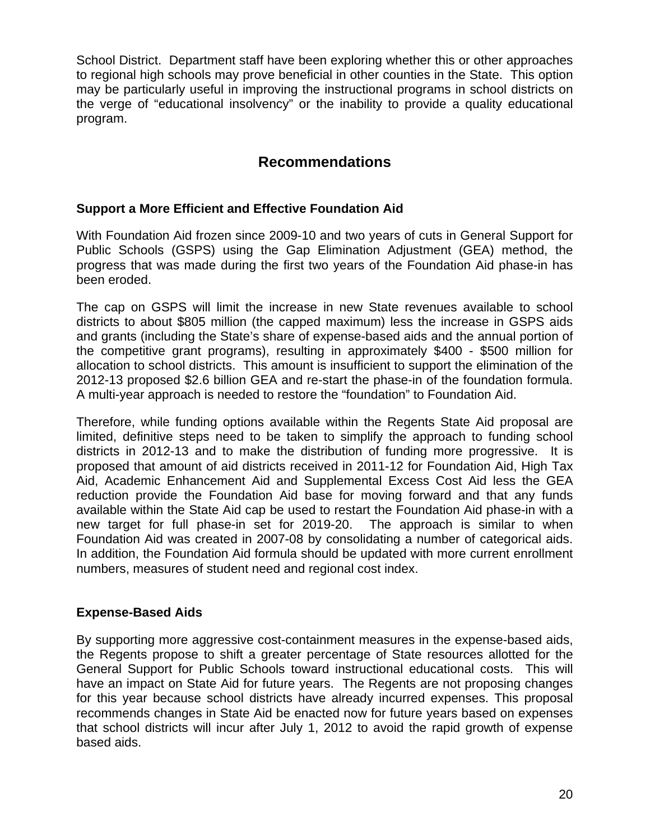School District. Department staff have been exploring whether this or other approaches to regional high schools may prove beneficial in other counties in the State. This option may be particularly useful in improving the instructional programs in school districts on the verge of "educational insolvency" or the inability to provide a quality educational program.

## **Recommendations**

#### **Support a More Efficient and Effective Foundation Aid**

With Foundation Aid frozen since 2009-10 and two years of cuts in General Support for Public Schools (GSPS) using the Gap Elimination Adjustment (GEA) method, the progress that was made during the first two years of the Foundation Aid phase-in has been eroded.

The cap on GSPS will limit the increase in new State revenues available to school districts to about \$805 million (the capped maximum) less the increase in GSPS aids and grants (including the State's share of expense-based aids and the annual portion of the competitive grant programs), resulting in approximately \$400 - \$500 million for allocation to school districts. This amount is insufficient to support the elimination of the 2012-13 proposed \$2.6 billion GEA and re-start the phase-in of the foundation formula. A multi-year approach is needed to restore the "foundation" to Foundation Aid.

Therefore, while funding options available within the Regents State Aid proposal are limited, definitive steps need to be taken to simplify the approach to funding school districts in 2012-13 and to make the distribution of funding more progressive. It is proposed that amount of aid districts received in 2011-12 for Foundation Aid, High Tax Aid, Academic Enhancement Aid and Supplemental Excess Cost Aid less the GEA reduction provide the Foundation Aid base for moving forward and that any funds available within the State Aid cap be used to restart the Foundation Aid phase-in with a new target for full phase-in set for 2019-20. The approach is similar to when Foundation Aid was created in 2007-08 by consolidating a number of categorical aids. In addition, the Foundation Aid formula should be updated with more current enrollment numbers, measures of student need and regional cost index.

#### **Expense-Based Aids**

By supporting more aggressive cost-containment measures in the expense-based aids, the Regents propose to shift a greater percentage of State resources allotted for the General Support for Public Schools toward instructional educational costs. This will have an impact on State Aid for future years. The Regents are not proposing changes for this year because school districts have already incurred expenses. This proposal recommends changes in State Aid be enacted now for future years based on expenses that school districts will incur after July 1, 2012 to avoid the rapid growth of expense based aids.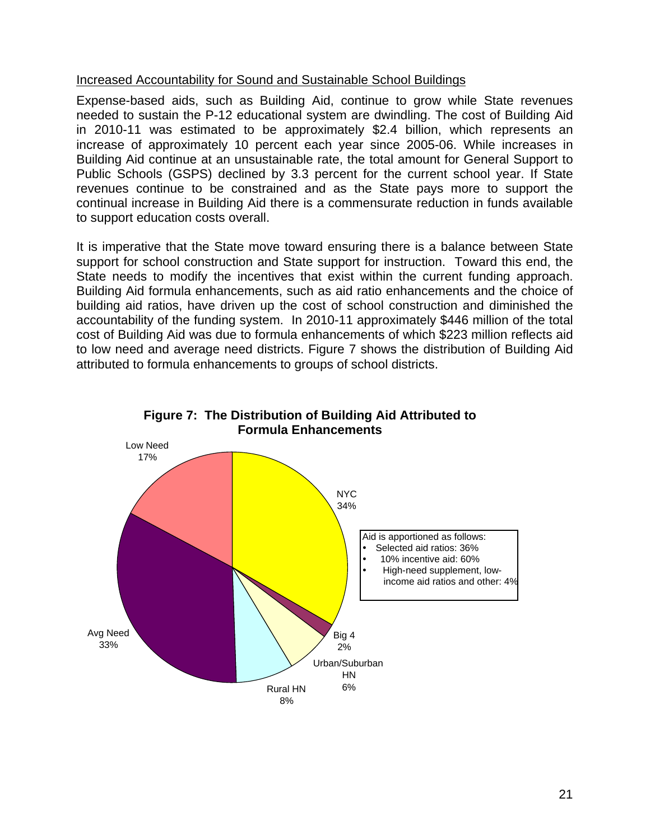#### Increased Accountability for Sound and Sustainable School Buildings

Expense-based aids, such as Building Aid, continue to grow while State revenues needed to sustain the P-12 educational system are dwindling. The cost of Building Aid in 2010-11 was estimated to be approximately \$2.4 billion, which represents an increase of approximately 10 percent each year since 2005-06. While increases in Building Aid continue at an unsustainable rate, the total amount for General Support to Public Schools (GSPS) declined by 3.3 percent for the current school year. If State revenues continue to be constrained and as the State pays more to support the continual increase in Building Aid there is a commensurate reduction in funds available to support education costs overall.

It is imperative that the State move toward ensuring there is a balance between State support for school construction and State support for instruction. Toward this end, the State needs to modify the incentives that exist within the current funding approach. Building Aid formula enhancements, such as aid ratio enhancements and the choice of building aid ratios, have driven up the cost of school construction and diminished the accountability of the funding system. In 2010-11 approximately \$446 million of the total cost of Building Aid was due to formula enhancements of which \$223 million reflects aid to low need and average need districts. Figure 7 shows the distribution of Building Aid attributed to formula enhancements to groups of school districts.



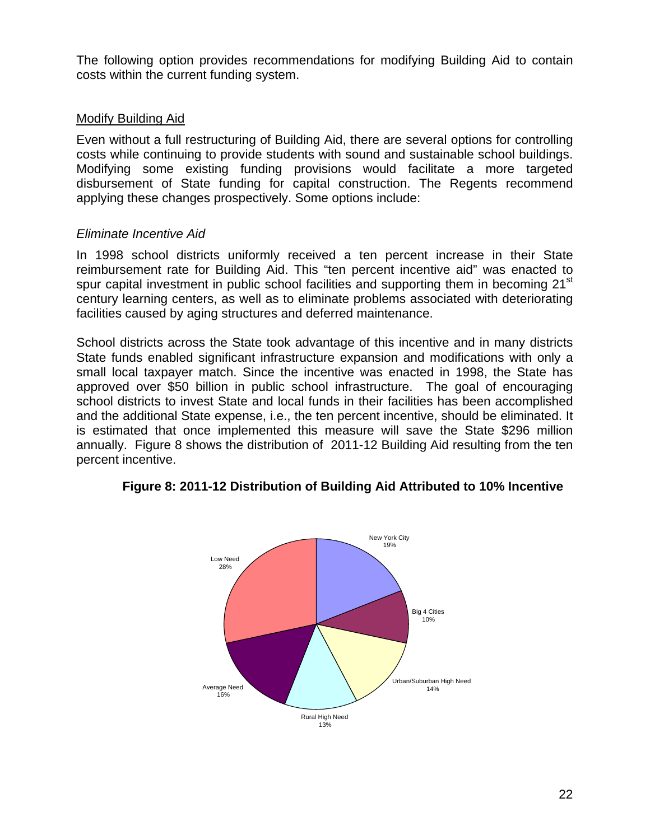The following option provides recommendations for modifying Building Aid to contain costs within the current funding system.

#### Modify Building Aid

Even without a full restructuring of Building Aid, there are several options for controlling costs while continuing to provide students with sound and sustainable school buildings. Modifying some existing funding provisions would facilitate a more targeted disbursement of State funding for capital construction. The Regents recommend applying these changes prospectively. Some options include:

#### *Eliminate Incentive Aid*

In 1998 school districts uniformly received a ten percent increase in their State reimbursement rate for Building Aid. This "ten percent incentive aid" was enacted to spur capital investment in public school facilities and supporting them in becoming 21<sup>st</sup> century learning centers, as well as to eliminate problems associated with deteriorating facilities caused by aging structures and deferred maintenance.

School districts across the State took advantage of this incentive and in many districts State funds enabled significant infrastructure expansion and modifications with only a small local taxpayer match. Since the incentive was enacted in 1998, the State has approved over \$50 billion in public school infrastructure. The goal of encouraging school districts to invest State and local funds in their facilities has been accomplished and the additional State expense, i.e., the ten percent incentive, should be eliminated. It is estimated that once implemented this measure will save the State \$296 million annually. Figure 8 shows the distribution of 2011-12 Building Aid resulting from the ten percent incentive.



#### **Figure 8: 2011-12 Distribution of Building Aid Attributed to 10% Incentive**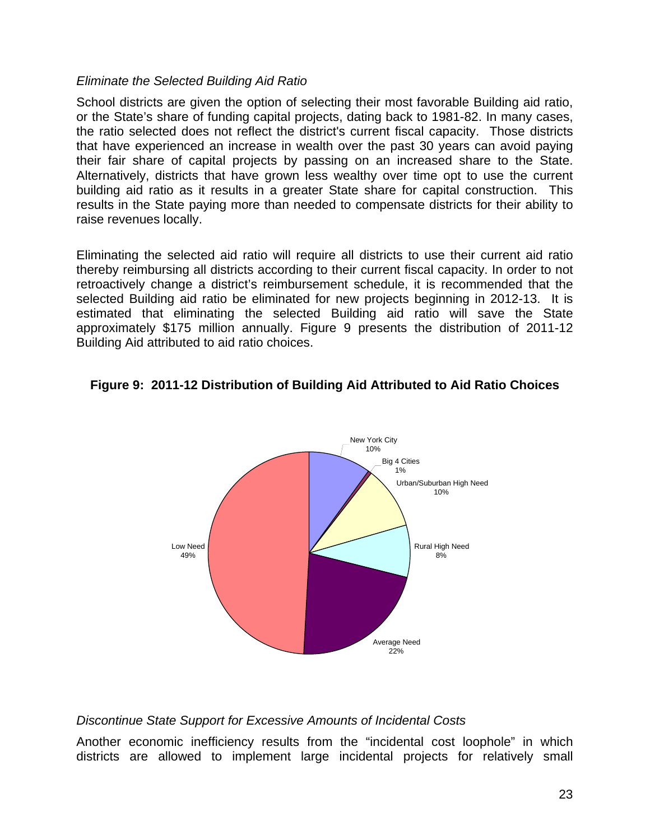#### *Eliminate the Selected Building Aid Ratio*

School districts are given the option of selecting their most favorable Building aid ratio, or the State's share of funding capital projects, dating back to 1981-82. In many cases, the ratio selected does not reflect the district's current fiscal capacity. Those districts that have experienced an increase in wealth over the past 30 years can avoid paying their fair share of capital projects by passing on an increased share to the State. Alternatively, districts that have grown less wealthy over time opt to use the current building aid ratio as it results in a greater State share for capital construction. This results in the State paying more than needed to compensate districts for their ability to raise revenues locally.

Eliminating the selected aid ratio will require all districts to use their current aid ratio thereby reimbursing all districts according to their current fiscal capacity. In order to not retroactively change a district's reimbursement schedule, it is recommended that the selected Building aid ratio be eliminated for new projects beginning in 2012-13. It is estimated that eliminating the selected Building aid ratio will save the State approximately \$175 million annually. Figure 9 presents the distribution of 2011-12 Building Aid attributed to aid ratio choices.

#### **Figure 9: 2011-12 Distribution of Building Aid Attributed to Aid Ratio Choices**



#### *Discontinue State Support for Excessive Amounts of Incidental Costs*

Another economic inefficiency results from the "incidental cost loophole" in which districts are allowed to implement large incidental projects for relatively small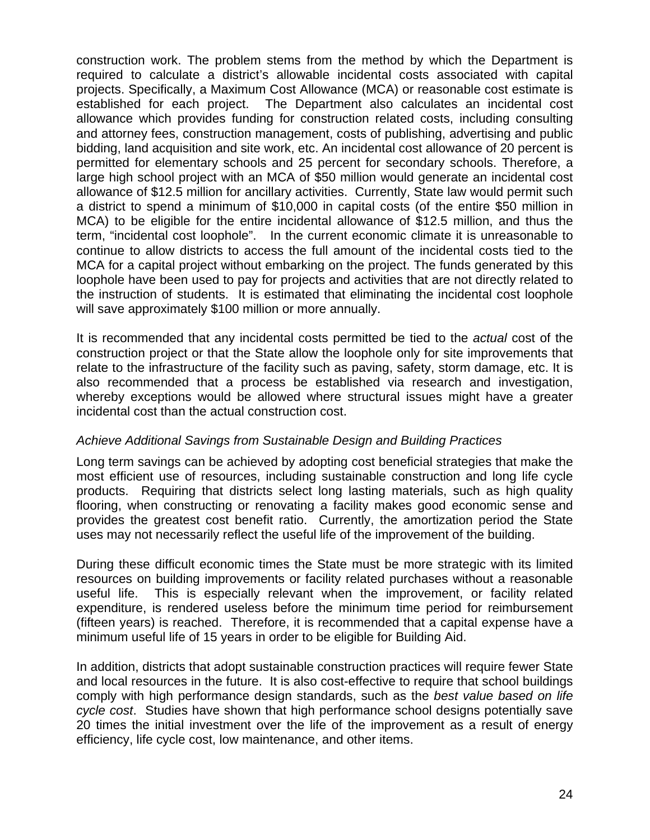construction work. The problem stems from the method by which the Department is required to calculate a district's allowable incidental costs associated with capital projects. Specifically, a Maximum Cost Allowance (MCA) or reasonable cost estimate is established for each project. The Department also calculates an incidental cost allowance which provides funding for construction related costs, including consulting and attorney fees, construction management, costs of publishing, advertising and public bidding, land acquisition and site work, etc. An incidental cost allowance of 20 percent is permitted for elementary schools and 25 percent for secondary schools. Therefore, a large high school project with an MCA of \$50 million would generate an incidental cost allowance of \$12.5 million for ancillary activities. Currently, State law would permit such a district to spend a minimum of \$10,000 in capital costs (of the entire \$50 million in MCA) to be eligible for the entire incidental allowance of \$12.5 million, and thus the term, "incidental cost loophole". In the current economic climate it is unreasonable to continue to allow districts to access the full amount of the incidental costs tied to the MCA for a capital project without embarking on the project. The funds generated by this loophole have been used to pay for projects and activities that are not directly related to the instruction of students. It is estimated that eliminating the incidental cost loophole will save approximately \$100 million or more annually.

It is recommended that any incidental costs permitted be tied to the *actual* cost of the construction project or that the State allow the loophole only for site improvements that relate to the infrastructure of the facility such as paving, safety, storm damage, etc. It is also recommended that a process be established via research and investigation, whereby exceptions would be allowed where structural issues might have a greater incidental cost than the actual construction cost.

#### *Achieve Additional Savings from Sustainable Design and Building Practices*

Long term savings can be achieved by adopting cost beneficial strategies that make the most efficient use of resources, including sustainable construction and long life cycle products. Requiring that districts select long lasting materials, such as high quality flooring, when constructing or renovating a facility makes good economic sense and provides the greatest cost benefit ratio. Currently, the amortization period the State uses may not necessarily reflect the useful life of the improvement of the building.

During these difficult economic times the State must be more strategic with its limited resources on building improvements or facility related purchases without a reasonable useful life. This is especially relevant when the improvement, or facility related expenditure, is rendered useless before the minimum time period for reimbursement (fifteen years) is reached. Therefore, it is recommended that a capital expense have a minimum useful life of 15 years in order to be eligible for Building Aid.

In addition, districts that adopt sustainable construction practices will require fewer State and local resources in the future. It is also cost-effective to require that school buildings comply with high performance design standards, such as the *best value based on life cycle cost*. Studies have shown that high performance school designs potentially save 20 times the initial investment over the life of the improvement as a result of energy efficiency, life cycle cost, low maintenance, and other items.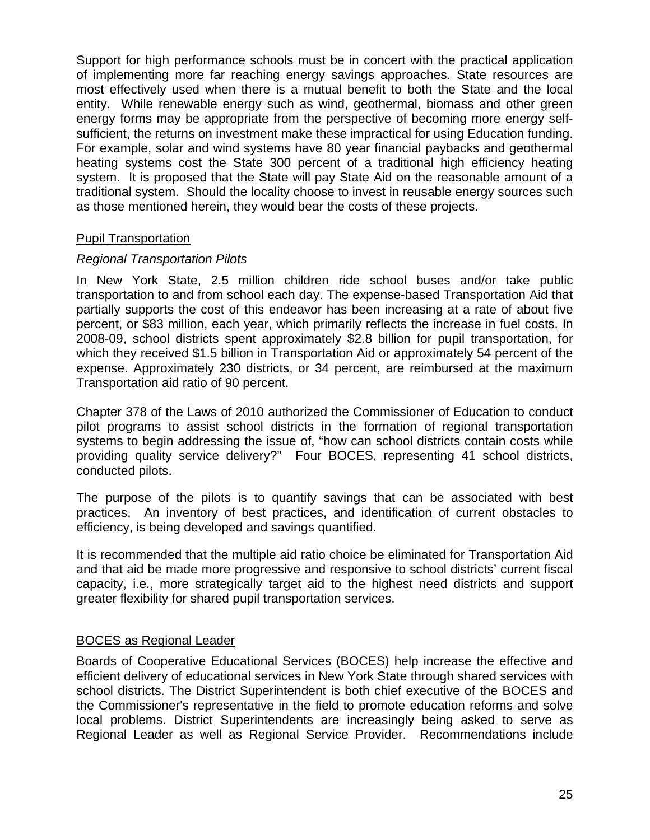Support for high performance schools must be in concert with the practical application of implementing more far reaching energy savings approaches. State resources are most effectively used when there is a mutual benefit to both the State and the local entity. While renewable energy such as wind, geothermal, biomass and other green energy forms may be appropriate from the perspective of becoming more energy selfsufficient, the returns on investment make these impractical for using Education funding. For example, solar and wind systems have 80 year financial paybacks and geothermal heating systems cost the State 300 percent of a traditional high efficiency heating system. It is proposed that the State will pay State Aid on the reasonable amount of a traditional system. Should the locality choose to invest in reusable energy sources such as those mentioned herein, they would bear the costs of these projects.

#### Pupil Transportation

#### *Regional Transportation Pilots*

In New York State, 2.5 million children ride school buses and/or take public transportation to and from school each day. The expense-based Transportation Aid that partially supports the cost of this endeavor has been increasing at a rate of about five percent, or \$83 million, each year, which primarily reflects the increase in fuel costs. In 2008-09, school districts spent approximately \$2.8 billion for pupil transportation, for which they received \$1.5 billion in Transportation Aid or approximately 54 percent of the expense. Approximately 230 districts, or 34 percent, are reimbursed at the maximum Transportation aid ratio of 90 percent.

Chapter 378 of the Laws of 2010 authorized the Commissioner of Education to conduct pilot programs to assist school districts in the formation of regional transportation systems to begin addressing the issue of, "how can school districts contain costs while providing quality service delivery?" Four BOCES, representing 41 school districts, conducted pilots.

The purpose of the pilots is to quantify savings that can be associated with best practices. An inventory of best practices, and identification of current obstacles to efficiency, is being developed and savings quantified.

It is recommended that the multiple aid ratio choice be eliminated for Transportation Aid and that aid be made more progressive and responsive to school districts' current fiscal capacity, i.e., more strategically target aid to the highest need districts and support greater flexibility for shared pupil transportation services.

#### BOCES as Regional Leader

Boards of Cooperative Educational Services (BOCES) help increase the effective and efficient delivery of educational services in New York State through shared services with school districts. The District Superintendent is both chief executive of the BOCES and the Commissioner's representative in the field to promote education reforms and solve local problems. District Superintendents are increasingly being asked to serve as Regional Leader as well as Regional Service Provider. Recommendations include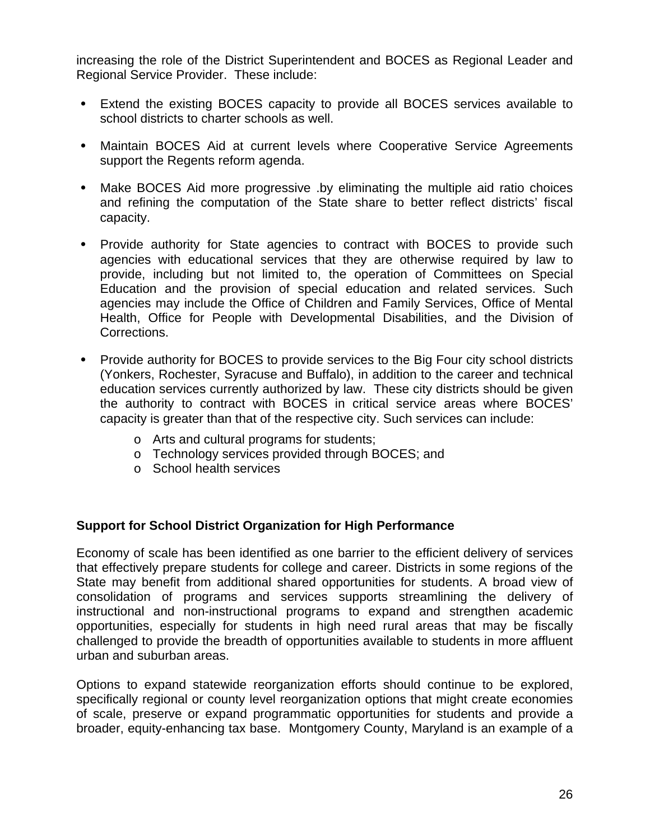increasing the role of the District Superintendent and BOCES as Regional Leader and Regional Service Provider. These include:

- Extend the existing BOCES capacity to provide all BOCES services available to school districts to charter schools as well.
- Maintain BOCES Aid at current levels where Cooperative Service Agreements support the Regents reform agenda.
- Make BOCES Aid more progressive .by eliminating the multiple aid ratio choices and refining the computation of the State share to better reflect districts' fiscal capacity.
- Provide authority for State agencies to contract with BOCES to provide such agencies with educational services that they are otherwise required by law to provide, including but not limited to, the operation of Committees on Special Education and the provision of special education and related services. Such agencies may include the Office of Children and Family Services, Office of Mental Health, Office for People with Developmental Disabilities, and the Division of Corrections.
- Provide authority for BOCES to provide services to the Big Four city school districts (Yonkers, Rochester, Syracuse and Buffalo), in addition to the career and technical education services currently authorized by law. These city districts should be given the authority to contract with BOCES in critical service areas where BOCES' capacity is greater than that of the respective city. Such services can include:
	- o Arts and cultural programs for students;
	- o Technology services provided through BOCES; and
	- o School health services

#### **Support for School District Organization for High Performance**

Economy of scale has been identified as one barrier to the efficient delivery of services that effectively prepare students for college and career. Districts in some regions of the State may benefit from additional shared opportunities for students. A broad view of consolidation of programs and services supports streamlining the delivery of instructional and non-instructional programs to expand and strengthen academic opportunities, especially for students in high need rural areas that may be fiscally challenged to provide the breadth of opportunities available to students in more affluent urban and suburban areas.

Options to expand statewide reorganization efforts should continue to be explored, specifically regional or county level reorganization options that might create economies of scale, preserve or expand programmatic opportunities for students and provide a broader, equity-enhancing tax base. Montgomery County, Maryland is an example of a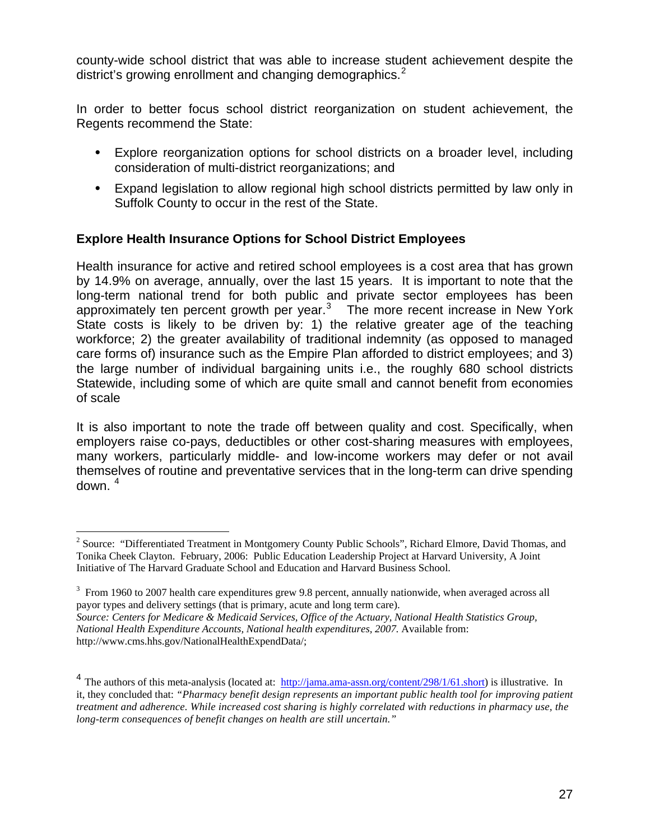county-wide school district that was able to increase student achievement despite the district's growing enrollment and changing demographics.<sup>[2](#page-26-0)</sup>

In order to better focus school district reorganization on student achievement, the Regents recommend the State:

- Explore reorganization options for school districts on a broader level, including consideration of multi-district reorganizations; and
- Expand legislation to allow regional high school districts permitted by law only in Suffolk County to occur in the rest of the State.

#### **Explore Health Insurance Options for School District Employees**

Health insurance for active and retired school employees is a cost area that has grown by 14.9% on average, annually, over the last 15 years. It is important to note that the long-term national trend for both public and private sector employees has been approximately ten percent growth per year. $3$  The more recent increase in New York State costs is likely to be driven by: 1) the relative greater age of the teaching workforce; 2) the greater availability of traditional indemnity (as opposed to managed care forms of) insurance such as the Empire Plan afforded to district employees; and 3) the large number of individual bargaining units i.e., the roughly 680 school districts Statewide, including some of which are quite small and cannot benefit from economies of scale

It is also important to note the trade off between quality and cost. Specifically, when employers raise co-pays, deductibles or other cost-sharing measures with employees, many workers, particularly middle- and low-income workers may defer or not avail themselves of routine and preventative services that in the long-term can drive spending down. <sup>[4](#page-26-2)</sup>

 $\overline{a}$ 

<span id="page-26-0"></span><sup>&</sup>lt;sup>2</sup> Source: "Differentiated Treatment in Montgomery County Public Schools", Richard Elmore, David Thomas, and Tonika Cheek Clayton. February, 2006: Public Education Leadership Project at Harvard University, A Joint Initiative of The Harvard Graduate School and Education and Harvard Business School.

<span id="page-26-1"></span> $3$  From 1960 to 2007 health care expenditures grew 9.8 percent, annually nationwide, when averaged across all payor types and delivery settings (that is primary, acute and long term care). *Source: Centers for Medicare & Medicaid Services, Office of the Actuary, National Health Statistics Group, National Health Expenditure Accounts, National health expenditures, 2007.* Available from:

http://www.cms.hhs.gov/NationalHealthExpendData/;

<span id="page-26-2"></span><sup>&</sup>lt;sup>4</sup> The authors of this meta-analysis (located at:  $\frac{http://jama.ama-assn.org/content/298/1/61.short)}{http://jama.ama-assn.org/content/298/1/61.short)}$  $\frac{http://jama.ama-assn.org/content/298/1/61.short)}{http://jama.ama-assn.org/content/298/1/61.short)}$  $\frac{http://jama.ama-assn.org/content/298/1/61.short)}{http://jama.ama-assn.org/content/298/1/61.short)}$  is illustrative. In it, they concluded that: *"Pharmacy benefit design represents an important public health tool for improving patient treatment and adherence. While increased cost sharing is highly correlated with reductions in pharmacy use, the long-term consequences of benefit changes on health are still uncertain."*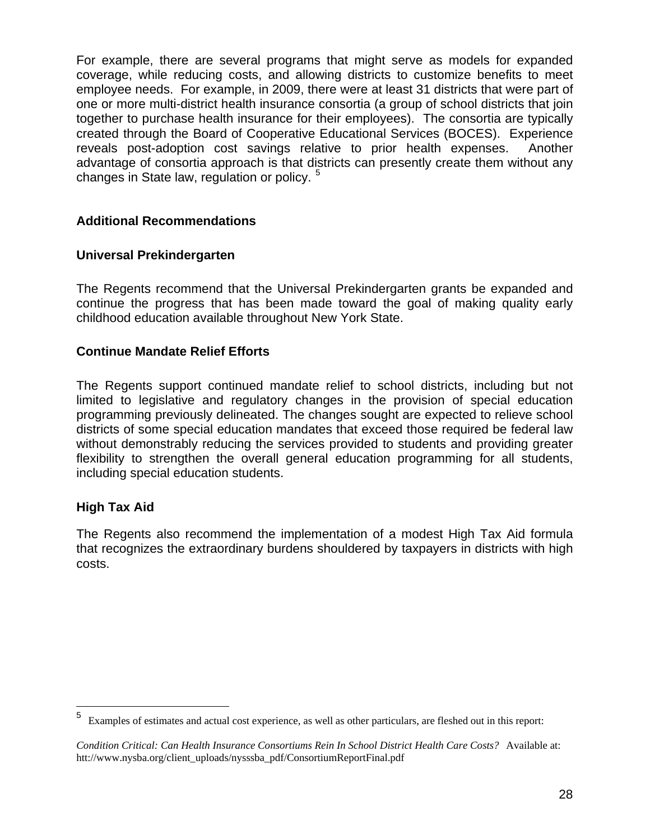For example, there are several programs that might serve as models for expanded coverage, while reducing costs, and allowing districts to customize benefits to meet employee needs. For example, in 2009, there were at least 31 districts that were part of one or more multi-district health insurance consortia (a group of school districts that join together to purchase health insurance for their employees). The consortia are typically created through the Board of Cooperative Educational Services (BOCES). Experience reveals post-adoption cost savings relative to prior health expenses. Another advantage of consortia approach is that districts can presently create them without any changes in State law, regulation or policy.<sup>[5](#page-27-0)</sup>

#### **Additional Recommendations**

#### **Universal Prekindergarten**

The Regents recommend that the Universal Prekindergarten grants be expanded and continue the progress that has been made toward the goal of making quality early childhood education available throughout New York State.

#### **Continue Mandate Relief Efforts**

The Regents support continued mandate relief to school districts, including but not limited to legislative and regulatory changes in the provision of special education programming previously delineated. The changes sought are expected to relieve school districts of some special education mandates that exceed those required be federal law without demonstrably reducing the services provided to students and providing greater flexibility to strengthen the overall general education programming for all students, including special education students.

#### **High Tax Aid**

 $\overline{a}$ 

The Regents also recommend the implementation of a modest High Tax Aid formula that recognizes the extraordinary burdens shouldered by taxpayers in districts with high costs.

<span id="page-27-0"></span><sup>5</sup> Examples of estimates and actual cost experience, as well as other particulars, are fleshed out in this report:

*Condition Critical: Can Health Insurance Consortiums Rein In School District Health Care Costs?* Available at: htt://www.nysba.org/client\_uploads/nysssba\_pdf/ConsortiumReportFinal.pdf